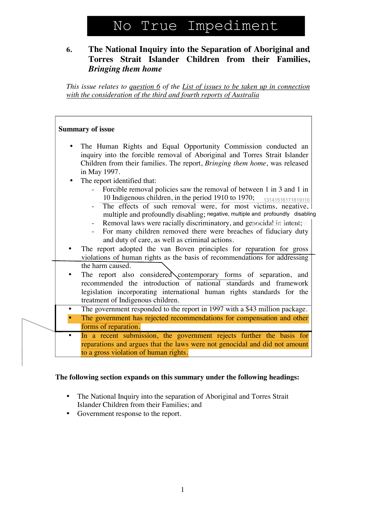# No True Impediment

# **6. The National Inquiry into the Separation of Aboriginal and Torres Strait Islander Children from their Families,** *Bringing them home*

*This issue relates to question 6 of the List of issues to be taken up in connection with the consideration of the third and fourth reports of Australia*

|           | <b>Summary of issue</b>                                                                                                                                                                                                                                                                                                                                                                                                                                                                                                        |
|-----------|--------------------------------------------------------------------------------------------------------------------------------------------------------------------------------------------------------------------------------------------------------------------------------------------------------------------------------------------------------------------------------------------------------------------------------------------------------------------------------------------------------------------------------|
| $\bullet$ | The Human Rights and Equal Opportunity Commission conducted an<br>inquiry into the forcible removal of Aboriginal and Torres Strait Islander<br>Children from their families. The report, Bringing them home, was released<br>in May 1997.                                                                                                                                                                                                                                                                                     |
| $\bullet$ | The report identified that:<br>Forcible removal policies saw the removal of between 1 in 3 and 1 in<br>10 Indigenous children, in the period 1910 to 1970;<br>13141516171819110<br>The effects of such removal were, for most victims, negative,<br>multiple and profoundly disabling; negative, multiple and profoundly disabling<br>Removal laws were racially discriminatory, and genecidal in intent;<br>For many children removed there were breaches of fiduciary duty<br>and duty of care, as well as criminal actions. |
|           | The report adopted the van Boven principles for reparation for gross<br>violations of human rights as the basis of recommendations for addressing                                                                                                                                                                                                                                                                                                                                                                              |
|           | the harm caused.<br>The report also considered contemporary forms of separation, and<br>recommended the introduction of national standards and framework<br>legislation incorporating international human rights standards for the<br>treatment of Indigenous children.                                                                                                                                                                                                                                                        |
| ٠         | The government responded to the report in 1997 with a \$43 million package.                                                                                                                                                                                                                                                                                                                                                                                                                                                    |
|           | The government has rejected recommendations for compensation and other<br>forms of reparation.                                                                                                                                                                                                                                                                                                                                                                                                                                 |
|           | In a recent submission, the government rejects further the basis for<br>reparations and argues that the laws were not genocidal and did not amount<br>to a gross violation of human rights.                                                                                                                                                                                                                                                                                                                                    |

## **The following section expands on this summary under the following headings:**

- The National Inquiry into the separation of Aboriginal and Torres Strait Islander Children from their Families; and
- Government response to the report.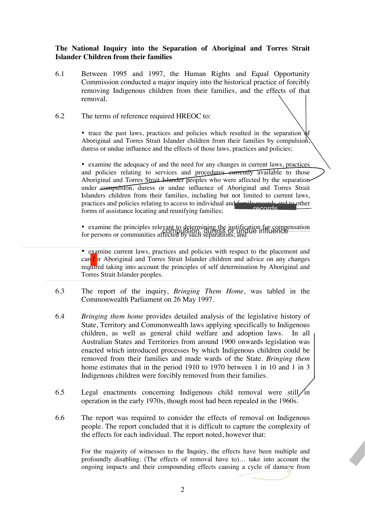### **The National Inquiry into the Separation of Aboriginal and Torres Strait Islander Children from their families**

6.1 Between 1995 and 1997, the Human Rights and Equal Opportunity Commission conducted a major inquiry into the historical practice of forcibly removing Indigenous children from their families, and the effects of that removal.

#### 6.2 The terms of reference required HREOC to:

• trace the past laws, practices and policies which resulted in the separation  $\delta$ Aboriginal and Torres Strait Islander children from their families by compulsion, duress or undue influence and the effects of those laws, practices and policies;

• examine the adequacy of and the need for any changes in current laws, practices and policies relating to services and procedures eurrently available to those Aboriginal and Torres Strait Islander peoples who were affected by the separation under compulsion, duress or undue influence of Aboriginal and Torres Strait Islanders children from their families, including but not limited to current laws, practices and policies relating to access to individual and **family records and to other**<br>forms of assistance locating and reunifying families: forms of assistance locating and reunifying families;

• examine the principles relevant to determining the justification for compensation Examine the principles fele value in duction, duress or undue influence<br>for persons or communities affected by such separations; and

• examine current laws, practices and policies with respect to the placement and care f or Aboriginal and Torres Strait Islander children and advice on any changes required taking into account the principles of self determination by Aboriginal and Torres Strait Islander peoples.

- 6.3 The report of the inquiry, *Bringing Them Home,* was tabled in the Commonwealth Parliament on 26 May 1997.
- 6.4 *Bringing them home* provides detailed analysis of the legislative history of State, Territory and Commonwealth laws applying specifically to Indigenous children, as well as general child welfare and adoption laws. In all Australian States and Territories from around 1900 onwards legislation was enacted which introduced processes by which Indigenous children could be removed from their families and made wards of the State. *Bringing them* home estimates that in the period 1910 to 1970 between 1 in 10 and 1 in 3 Indigenous children were forcibly removed from their families.
- 6.5 Legal enactments concerning Indigenous child removal were still in operation in the early 1970s, though most had been repealed in the 1960s.
- 6.6 The report was required to consider the effects of removal on Indigenous people. The report concluded that it is difficult to capture the complexity of the effects for each individual. The report noted, however that:

For the majority of witnesses to the Inquiry, the effects have been multiple and profoundly disabling. (The effects of removal have to)… take into account the ongoing impacts and their compounding effects causing a cycle of damage from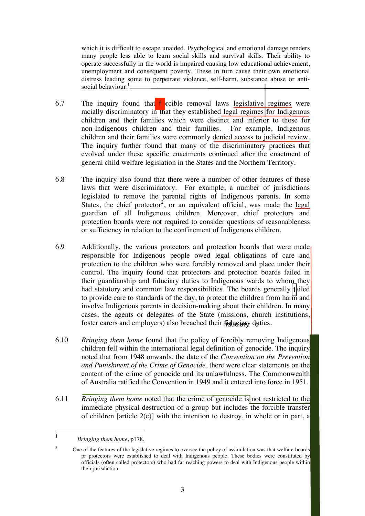which it is difficult to escape unaided. Psychological and emotional damage renders many people less able to learn social skills and survival skills. Their ability to operate successfully in the world is impaired causing low educational achievement, unemployment and consequent poverty. These in turn cause their own emotional distress leading some to perpetrate violence, self-harm, substance abuse or antisocial behaviour.<sup>1</sup>

- 6.7 The inquiry found that forcible removal laws legislative regimes were racially discriminatory in that they established legal regimes for Indigenous children and their families which were distinct and inferior to those for non-Indigenous children and their families. For example, Indigenous children and their families were commonly denied access to judicial review. The inquiry further found that many of the discriminatory practices that evolved under these specific enactments continued after the enactment of general child welfare legislation in the States and the Northern Territory.
- 6.8 The inquiry also found that there were a number of other features of these laws that were discriminatory. For example, a number of jurisdictions legislated to remove the parental rights of Indigenous parents. In some States, the chief protector<sup>2</sup>, or an equivalent official, was made the legal guardian of all Indigenous children. Moreover, chief protectors and protection boards were not required to consider questions of reasonableness or sufficiency in relation to the confinement of Indigenous children.
- 6.9 Additionally, the various protectors and protection boards that were made responsible for Indigenous people owed legal obligations of care and protection to the children who were forcibly removed and place under their control. The inquiry found that protectors and protection boards failed in their guardianship and fiduciary duties to Indigenous wards to whom they had statutory and common law responsibilities. The boards generally  $|f|$ iled to provide care to standards of the day, to protect the children from harm and involve Indigenous parents in decision-making about their children. In many cases, the agents or delegates of the State (missions, church institutions, foster carers and employers) also breached their fiduciany duties.
- 6.10 *Bringing them home* found that the policy of forcibly removing Indigenous children fell within the international legal definition of genocide. The inquiry noted that from 1948 onwards, the date of the *Convention on the Prevention and Punishment of the Crime of Genocide*, there were clear statements on the content of the crime of genocide and its unlawfulness. The Commonwealth of Australia ratified the Convention in 1949 and it entered into force in 1951.
- 6.11 *Bringing them home* noted that the crime of genocide is not restricted to the immediate physical destruction of a group but includes the forcible transfer of children [article 2(e)] with the intention to destroy, in whole or in part, a

 <sup>1</sup> *Bringing them home*, p178.

<sup>&</sup>lt;sup>2</sup> One of the features of the legislative regimes to oversee the policy of assimilation was that welfare boards pr protectors were established to deal with Indigenous people. These bodies were constituted by officials (often called protectors) who had far reaching powers to deal with Indigenous people within their jurisdiction.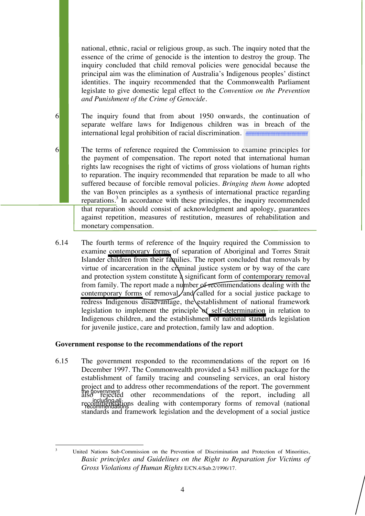national, ethnic, racial or religious group, as such. The inquiry noted that the essence of the crime of genocide is the intention to destroy the group. The inquiry concluded that child removal policies were genocidal because the principal aim was the elimination of Australia's Indigenous peoples' distinct identities. The inquiry recommended that the Commonwealth Parliament legislate to give domestic legal effect to the *Convention on the Prevention and Punishment of the Crime of Genocide*.

6. The inquiry found that from about 1950 onwards, the continuation of separate welfare laws for Indigenous children was in breach of the international legal prohibition of racial discrimination. <del>munummunummunum</del>

6.13 The terms of reference required the Commission to examine principles for the payment of compensation. The report noted that international human rights law recognises the right of victims of gross violations of human rights to reparation. The inquiry recommended that reparation be made to all who suffered because of forcible removal policies. *Bringing them home* adopted the van Boven principles as a synthesis of international practice regarding reparations.<sup>3</sup> In accordance with these principles, the inquiry recommended that reparation should consist of acknowledgment and apology, guarantees against repetition, measures of restitution, measures of rehabilitation and monetary compensation.

6.14 The fourth terms of reference of the Inquiry required the Commission to examine contemporary forms of separation of Aboriginal and Torres Strait Islander children from their families. The report concluded that removals by virtue of incarceration in the cryininal justice system or by way of the care and protection system constitute  $\lambda$  significant form of contemporary removal from family. The report made a number of recommendations dealing with the contemporary forms of removal, and called for a social justice package to redress Indigenous disadvantage, the establishment of national framework legislation to implement the principle of self-determination in relation to Indigenous children, and the establishment of national standards legislation for juvenile justice, care and protection, family law and adoption.

#### **Government response to the recommendations of the report**

6.15 The government responded to the recommendations of the report on 16 December 1997. The Commonwealth provided a \$43 million package for the establishment of family tracing and counseling services, an oral history project and to address other recommendations of the report. The government also rejected other recommendations of the report, including all recommendations dealing with contemporary forms of removal (national standards and framework legislation and the development of a social justice the government including all recommendations

 <sup>3</sup> United Nations Sub-Commission on the Prevention of Discrimination and Protection of Minorities, *Basic principles and Guidelines on the Right to Reparation for Victims of Gross Violations of Human Rights* E/CN.4/Sub.2/1996/17.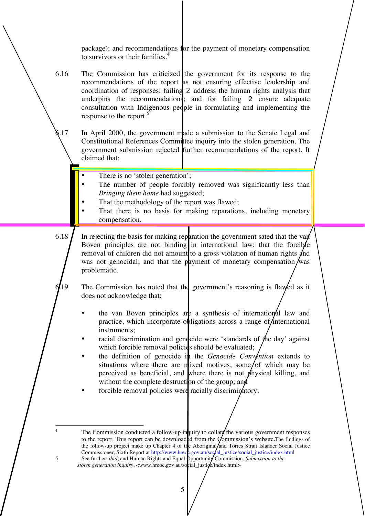package); and recommendations for the payment of monetary compensation to survivors or their families.<sup>4</sup>

- 6.16 The Commission has criticized the government for its response to the recommendations of the report as not ensuring effective leadership and coordination of responses; failing 2 address the human rights analysis that underpins the recommendations; and for failing 2 ensure adequate consultation with Indigenous people in formulating and implementing the response to the report.<sup>5</sup>
- 6.17 In April 2000, the government made a submission to the Senate Legal and Constitutional References Committee inquiry into the stolen generation. The government submission rejected further recommendations of the report. It claimed that:
	- There is no 'stolen generation';
	- The number of people forcibly removed was significantly less than *Bringing them home* had suggested;
	- That the methodology of the report was flawed;
	- That there is no basis for making reparations, including monetary compensation.
- 6.18  $\int$  In rejecting the basis for making reparation the government sated that the van Boven principles are not binding in international law; that the forcible removal of children did not amount to a gross violation of human rights and was not genocidal; and that the payment of monetary compensation/was problematic.

19 The Commission has noted that the government's reasoning is flawed as it does not acknowledge that:

- the van Boven principles are a synthesis of international law and practice, which incorporate obligations across a range of  $/$ international instruments;
- racial discrimination and genocide were 'standards of the day' against which forcible removal policies should be evaluated;
- the definition of genocide in the *Genocide Convention* extends to situations where there are mixed motives, some/of which may be perceived as beneficial, and where there is not physical killing, and without the complete destruction of the group; and
- forcible removal policies were racially discriminatory.

The Commission conducted a follow-up inquiry to collate the various government responses to the report. This report can be downloaded from the Commission's website. The findings of the follow-up project make up Chapter 4 of the Aboriginal/and Torres Strait Islander Social Justice Commissioner, Sixth Report at http://www.hreoc.gov.au/social\_justice/social\_justice/index.html 5 See further: *ibid*, and Human Rights and Equal Opportunity Commission, *Submission to the* stolen generation inquiry, <www.hreoc.gov.au/social\_justice/index.html>